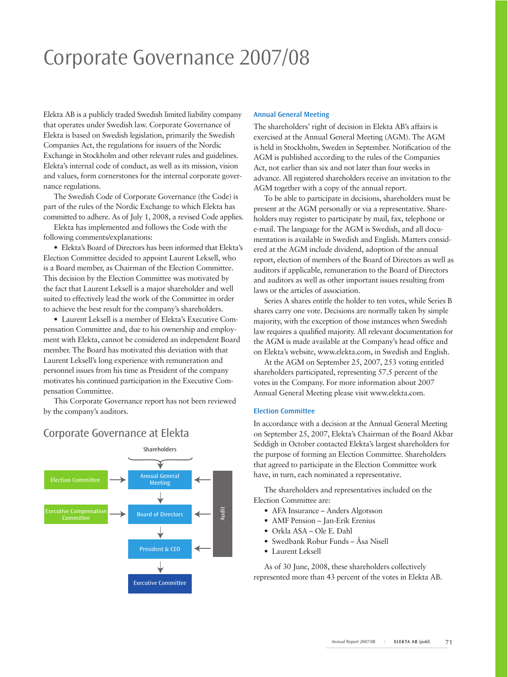# Corporate Governance 2007/08

Elekta AB is a publicly traded Swedish limited liability company that operates under Swedish law. Corporate Governance of Elekta is based on Swedish legislation, primarily the Swedish Companies Act, the regulations for issuers of the Nordic Exchange in Stockholm and other relevant rules and guidelines. Elekta's internal code of conduct, as well as its mission, vision and values, form cornerstones for the internal corporate governance regulations.

The Swedish Code of Corporate Governance (the Code) is part of the rules of the Nordic Exchange to which Elekta has committed to adhere. As of July 1, 2008, a revised Code applies.

Elekta has implemented and follows the Code with the following comments/explanations:

• Elekta's Board of Directors has been informed that Elekta's Election Committee decided to appoint Laurent Leksell, who is a Board member, as Chairman of the Election Committee. This decision by the Election Committee was motivated by the fact that Laurent Leksell is a major shareholder and well suited to effectively lead the work of the Committee in order to achieve the best result for the company's shareholders.

• Laurent Leksell is a member of Elekta's Executive Compensation Committee and, due to his ownership and employment with Elekta, cannot be considered an independent Board member. The Board has motivated this deviation with that Laurent Leksell's long experience with remuneration and personnel issues from his time as President of the company motivates his continued participation in the Executive Compensation Committee.

This Corporate Governance report has not been reviewed by the company's auditors.

# Corporate Governance at Elekta



#### **Annual General Meeting**

The shareholders' right of decision in Elekta AB's affairs is exercised at the Annual General Meeting (AGM). The AGM is held in Stockholm, Sweden in September. Notification of the AGM is published according to the rules of the Companies Act, not earlier than six and not later than four weeks in advance. All registered shareholders receive an invitation to the AGM together with a copy of the annual report.

To be able to participate in decisions, shareholders must be present at the AGM personally or via a representative. Shareholders may register to participate by mail, fax, telephone or e-mail. The language for the AGM is Swedish, and all documentation is available in Swedish and English. Matters considered at the AGM include dividend, adoption of the annual report, election of members of the Board of Directors as well as auditors if applicable, remuneration to the Board of Directors and auditors as well as other important issues resulting from laws or the articles of association.

Series A shares entitle the holder to ten votes, while Series B shares carry one vote. Decisions are normally taken by simple majority, with the exception of those instances when Swedish law requires a qualified majority. All relevant documentation for the AGM is made available at the Company's head office and on Elekta's website, www.elekta.com, in Swedish and English.

At the AGM on September 25, 2007, 253 voting entitled shareholders participated, representing 57.5 percent of the votes in the Company. For more information about 2007 Annual General Meeting please visit www.elekta.com.

#### **Election Committee**

In accordance with a decision at the Annual General Meeting on September 25, 2007, Elekta's Chairman of the Board Akbar Seddigh in October contacted Elekta's largest shareholders for the purpose of forming an Election Committee. Shareholders that agreed to participate in the Election Committee work have, in turn, each nominated a representative.

The shareholders and representatives included on the Election Committee are:

- AFA Insurance Anders Algotsson
- AMF Pension Jan-Erik Erenius
- Orkla ASA Ole E. Dahl
- Swedbank Robur Funds Åsa Nisell
- Laurent Leksell

As of 30 June, 2008, these shareholders collectively represented more than 43 percent of the votes in Elekta AB.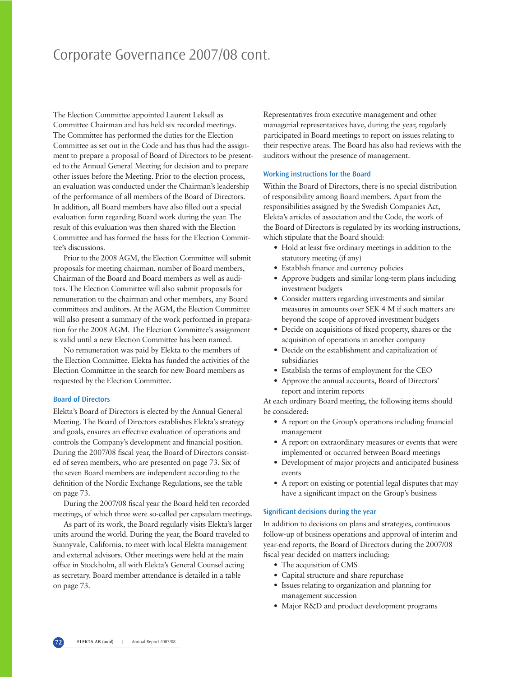# Corporate Governance 2007/08 cont.

The Election Committee appointed Laurent Leksell as Committee Chairman and has held six recorded meetings. The Committee has performed the duties for the Election Committee as set out in the Code and has thus had the assignment to prepare a proposal of Board of Directors to be presented to the Annual General Meeting for decision and to prepare other issues before the Meeting. Prior to the election process, an evaluation was conducted under the Chairman's leadership of the performance of all members of the Board of Directors. In addition, all Board members have also filled out a special evaluation form regarding Board work during the year. The result of this evaluation was then shared with the Election Committee and has formed the basis for the Election Committee's discussions.

Prior to the 2008 AGM, the Election Committee will submit proposals for meeting chairman, number of Board members, Chairman of the Board and Board members as well as auditors. The Election Committee will also submit proposals for remuneration to the chairman and other members, any Board committees and auditors. At the AGM, the Election Committee will also present a summary of the work performed in preparation for the 2008 AGM. The Election Committee's assignment is valid until a new Election Committee has been named.

No remuneration was paid by Elekta to the members of the Election Committee. Elekta has funded the activities of the Election Committee in the search for new Board members as requested by the Election Committee.

#### **Board of Directors**

Elekta's Board of Directors is elected by the Annual General Meeting. The Board of Directors establishes Elekta's strategy and goals, ensures an effective evaluation of operations and controls the Company's development and financial position. During the 2007/08 fiscal year, the Board of Directors consisted of seven members, who are presented on page 73. Six of the seven Board members are independent according to the definition of the Nordic Exchange Regulations, see the table on page 73.

During the 2007/08 fiscal year the Board held ten recorded meetings, of which three were so-called per capsulam meetings.

As part of its work, the Board regularly visits Elekta's larger units around the world. During the year, the Board traveled to Sunnyvale, California, to meet with local Elekta management and external advisors. Other meetings were held at the main office in Stockholm, all with Elekta's General Counsel acting as secretary. Board member attendance is detailed in a table on page 73.

Representatives from executive management and other managerial representatives have, during the year, regularly participated in Board meetings to report on issues relating to their respective areas. The Board has also had reviews with the auditors without the presence of management.

#### **Working instructions for the Board**

Within the Board of Directors, there is no special distribution of responsibility among Board members. Apart from the responsibilities assigned by the Swedish Companies Act, Elekta's articles of association and the Code, the work of the Board of Directors is regulated by its working instructions, which stipulate that the Board should:

- Hold at least five ordinary meetings in addition to the statutory meeting (if any)
- Establish finance and currency policies
- Approve budgets and similar long-term plans including investment budgets
- Consider matters regarding investments and similar measures in amounts over SEK 4 M if such matters are beyond the scope of approved investment budgets
- Decide on acquisitions of fixed property, shares or the acquisition of operations in another company
- Decide on the establishment and capitalization of subsidiaries
- Establish the terms of employment for the CEO
- Approve the annual accounts, Board of Directors' report and interim reports

At each ordinary Board meeting, the following items should be considered:

- A report on the Group's operations including financial management
- A report on extraordinary measures or events that were implemented or occurred between Board meetings
- Development of major projects and anticipated business events
- A report on existing or potential legal disputes that may have a significant impact on the Group's business

#### **Significant decisions during the year**

In addition to decisions on plans and strategies, continuous follow-up of business operations and approval of interim and year-end reports, the Board of Directors during the 2007/08 fiscal year decided on matters including:

- The acquisition of CMS
- Capital structure and share repurchase
- Issues relating to organization and planning for management succession
- Major R&D and product development programs

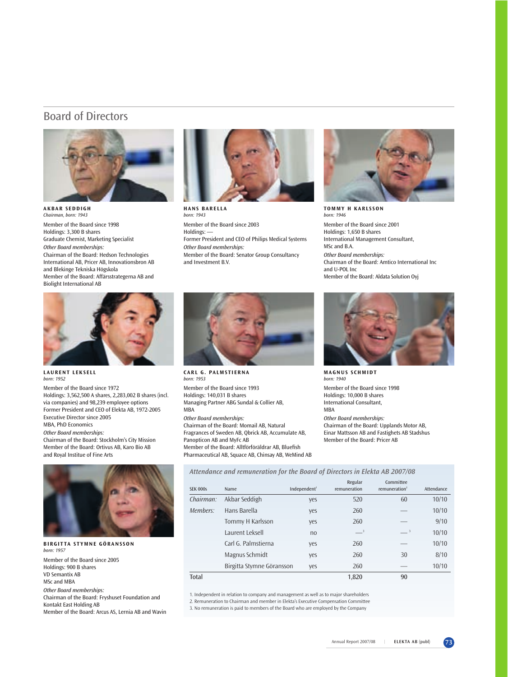### Board of Directors



**AKBAR SEDDIGH** *Chairman, born: 1943* Member of the Board since 1998 Holdings: 3,300 B shares Graduate Chemist, Marketing Specialist *Other Board memberships:* Chairman of the Board: Hedson Technologies International AB, Pricer AB, Innovationsbron AB and Blekinge Tekniska Högskola Member of the Board: Affärsstrategerna AB and Biolight International AB



**HANS BARELLA** *born: 1943* Member of the Board since 2003 Holdings: -Former President and CEO of Philips Medical Systems *Other Board memberships:* Member of the Board: Senator Group Consultancy and Investment B.V.



**TOMMY H KARLSSON** *born: 1946* Member of the Board since 2001 Holdings: 1,650 B shares International Management Consultant, MSc and B.A. *Other Board memberships:* Chairman of the Board: Amtico International Inc and U-POL Inc Member of the Board: Aldata Solution Oyj



**LAURENT LEKSELL** *born: 1952* 

Member of the Board since 1972 Holdings: 3,562,500 A shares, 2,283,002 B shares (incl. via companies) and 98,239 employee options Former President and CEO of Elekta AB, 1972-2005 Executive Director since 2005 MBA, PhD Economics

*Other Board memberships:*

Chairman of the Board: Stockholm's City Mission Member of the Board: Ortivus AB, Karo Bio AB and Royal Institue of Fine Arts



**BIRGITTA STYMNE GÖRANSSON** *born: 1957* Member of the Board since 2005 Holdings: 900 B shares VD Semantix AB MSc and MBA *Other Board memberships:* Chairman of the Board: Fryshuset Foundation and Kontakt East Holding AB

Member of the Board: Arcus AS, Lernia AB and Wavin



**CARL G. PALMSTIERNA** *born: 1953* 

Member of the Board since 1993 Holdings: 140,031 B shares Managing Partner ABG Sundal & Collier AB, MBA

*Other Board memberships:*

Chairman of the Board: Momail AB, Natural Fragrances of Sweden AB, Qbrick AB, Accumulate AB, Panopticon AB and MyFc AB Member of the Board: Alltförföräldrar AB, Bluefish Pharmaceutical AB, Squace AB, Chinsay AB, WeMind AB



**MAGNUS SCHMIDT** *born: 1940*  Member of the Board since 1998 Holdings: 10,000 B shares International Consultant, MBA *Other Board memberships:* Chairman of the Board: Upplands Motor AB, Einar Mattsson AB and Fastighets AB Stadshus Member of the Board: Pricer AB

*Attendance and remuneration for the Board of Directors in Elekta AB 2007/08*

| <b>SEK 000s</b> | Name                      | Independent <sup>1</sup> | Regular<br>remuneration | Committee<br>remuneration $2$ | Attendance |
|-----------------|---------------------------|--------------------------|-------------------------|-------------------------------|------------|
| Chairman:       | Akbar Seddigh             | yes                      | 520                     | 60                            | 10/10      |
| Members:        | Hans Barella              | yes                      | 260                     |                               | 10/10      |
|                 | Tommy H Karlsson          | yes                      | 260                     |                               | 9/10       |
|                 | Laurent Leksell           | no                       | $-$ <sup>3</sup>        | $-3$                          | 10/10      |
|                 | Carl G. Palmstierna       | yes                      | 260                     |                               | 10/10      |
|                 | Magnus Schmidt            | yes                      | 260                     | 30                            | 8/10       |
|                 | Birgitta Stymne Göransson | yes                      | 260                     |                               | 10/10      |
| Total           |                           |                          | 1,820                   | 90                            |            |

1. Independent in relation to company and management as well as to major shareholders

2. Remuneration to Chairman and member in Elekta's Executive Compensation Committee

3. No remuneration is paid to members of the Board who are employed by the Company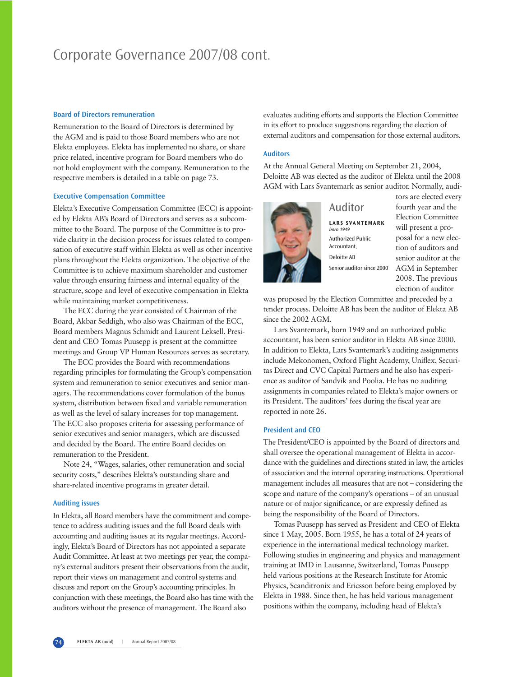# Corporate Governance 2007/08 cont.

#### **Board of Directors remuneration**

Remuneration to the Board of Directors is determined by the AGM and is paid to those Board members who are not Elekta employees. Elekta has implemented no share, or share price related, incentive program for Board members who do not hold employment with the company. Remuneration to the respective members is detailed in a table on page 73.

#### **Executive Compensation Committee**

Elekta's Executive Compensation Committee (ECC) is appointed by Elekta AB's Board of Directors and serves as a subcommittee to the Board. The purpose of the Committee is to provide clarity in the decision process for issues related to compensation of executive staff within Elekta as well as other incentive plans throughout the Elekta organization. The objective of the Committee is to achieve maximum shareholder and customer value through ensuring fairness and internal equality of the structure, scope and level of executive compensation in Elekta while maintaining market competitiveness.

The ECC during the year consisted of Chairman of the Board, Akbar Seddigh, who also was Chairman of the ECC, Board members Magnus Schmidt and Laurent Leksell. President and CEO Tomas Puusepp is present at the committee meetings and Group VP Human Resources serves as secretary.

The ECC provides the Board with recommendations regarding principles for formulating the Group's compensation system and remuneration to senior executives and senior managers. The recommendations cover formulation of the bonus system, distribution between fixed and variable remuneration as well as the level of salary increases for top management. The ECC also proposes criteria for assessing performance of senior executives and senior managers, which are discussed and decided by the Board. The entire Board decides on remuneration to the President.

Note 24, "Wages, salaries, other remuneration and social security costs," describes Elekta's outstanding share and share-related incentive programs in greater detail.

#### **Auditing issues**

In Elekta, all Board members have the commitment and competence to address auditing issues and the full Board deals with accounting and auditing issues at its regular meetings. Accordingly, Elekta's Board of Directors has not appointed a separate Audit Committee. At least at two meetings per year, the company's external auditors present their observations from the audit, report their views on management and control systems and discuss and report on the Group's accounting principles. In conjunction with these meetings, the Board also has time with the auditors without the presence of management. The Board also

evaluates auditing efforts and supports the Election Committee in its effort to produce suggestions regarding the election of external auditors and compensation for those external auditors.

#### **Auditors**

At the Annual General Meeting on September 21, 2004, Deloitte AB was elected as the auditor of Elekta until the 2008 AGM with Lars Svantemark as senior auditor. Normally, audi-



### Auditor

**LARS SVANTEMARK** *born 1949* Authorized Public Accountant, Deloitte AB Senior auditor since 2000 tors are elected every fourth year and the Election Committee will present a proposal for a new election of auditors and senior auditor at the AGM in September 2008. The previous election of auditor

was proposed by the Election Committee and preceded by a tender process. Deloitte AB has been the auditor of Elekta AB since the 2002 AGM.

Lars Svantemark, born 1949 and an authorized public accountant, has been senior auditor in Elekta AB since 2000. In addition to Elekta, Lars Svantemark's auditing assignments include Mekonomen, Oxford Flight Academy, Uniflex, Securitas Direct and CVC Capital Partners and he also has experience as auditor of Sandvik and Poolia. He has no auditing assignments in companies related to Elekta's major owners or its President. The auditors' fees during the fiscal year are reported in note 26.

#### **President and CEO**

The President/CEO is appointed by the Board of directors and shall oversee the operational management of Elekta in accordance with the guidelines and directions stated in law, the articles of association and the internal operating instructions. Operational management includes all measures that are not – considering the scope and nature of the company's operations – of an unusual nature or of major significance, or are expressly defined as being the responsibility of the Board of Directors.

Tomas Puusepp has served as President and CEO of Elekta since 1 May, 2005. Born 1955, he has a total of 24 years of experience in the international medical technology market. Following studies in engineering and physics and management training at IMD in Lausanne, Switzerland, Tomas Puusepp held various positions at the Research Institute for Atomic Physics, Scanditronix and Ericsson before being employed by Elekta in 1988. Since then, he has held various management positions within the company, including head of Elekta's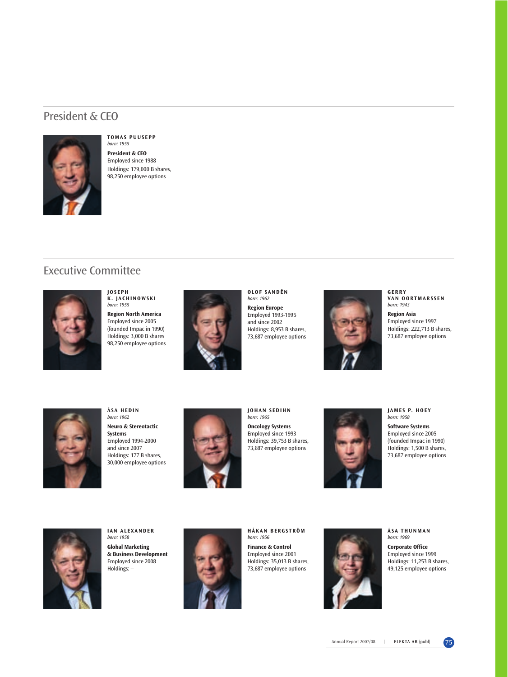### President & CEO



#### **TOMAS PUUSEPP** *born: 1955* **President & CEO**

Employed since 1988 Holdings: 179,000 B shares, 98,250 employee options

## Executive Committee



**JOSEPH K. JACHINOWSKI** *born: 1955*

**Region North America** Employed since 2005 (founded Impac in 1990) Holdings: 3,000 B shares 98,250 employee options



**OLOF SANDÉN** *born: 1962*

**Region Europe**  Employed 1993-1995 and since 2002 Holdings: 8,953 B shares, 73,687 employee options



**GERRY VAN OORTMARSSEN** *born: 1943*

**Region Asia** Employed since 1997 Holdings: 222,713 B shares, 73,687 employee options



**ÅSA HEDIN** *born: 1962* **Neuro & Stereotactic Systems** Employed 1994-2000 and since 2007 Holdings: 177 B shares, 30,000 employee options



**JOHAN SEDIHN** *born: 1965* **Oncology Systems**  Employed since 1993 Holdings: 39,753 B shares, 73,687 employee options



**JAMES P. HOEY**  *born: 1958*

**Software Systems** Employed since 2005 (founded Impac in 1990) Holdings: 1,500 B shares, 73,687 employee options



**IAN ALEXANDER** *born: 1958* **Global Marketing & Business Development** Employed since 2008

Holdings: –



**HÅKAN BERGSTRÖM** *born: 1956*

**Finance & Control** Employed since 2001 Holdings: 35,013 B shares, 73,687 employee options



**ÅSA THUNMAN** *born: 1969*

**Corporate Office** Employed since 1999 Holdings: 11,253 B shares, 49,125 employee options

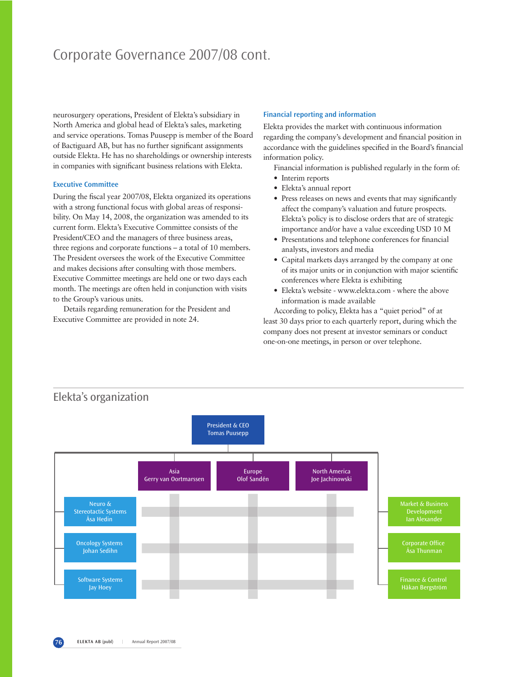# Corporate Governance 2007/08 cont.

neurosurgery operations, President of Elekta's subsidiary in North America and global head of Elekta's sales, marketing and service operations. Tomas Puusepp is member of the Board of Bactiguard AB, but has no further significant assignments outside Elekta. He has no shareholdings or ownership interests in companies with significant business relations with Elekta.

#### **Executive Committee**

During the fiscal year 2007/08, Elekta organized its operations with a strong functional focus with global areas of responsibility. On May 14, 2008, the organization was amended to its current form. Elekta's Executive Committee consists of the President/CEO and the managers of three business areas, three regions and corporate functions – a total of 10 members. The President oversees the work of the Executive Committee and makes decisions after consulting with those members. Executive Committee meetings are held one or two days each month. The meetings are often held in conjunction with visits to the Group's various units.

Details regarding remuneration for the President and Executive Committee are provided in note 24.

#### **Financial reporting and information**

Elekta provides the market with continuous information regarding the company's development and financial position in accordance with the guidelines specified in the Board's financial information policy.

- Financial information is published regularly in the form of:
- Interim reports
- Elekta's annual report
- Press releases on news and events that may significantly affect the company's valuation and future prospects. Elekta's policy is to disclose orders that are of strategic importance and/or have a value exceeding USD 10 M
- Presentations and telephone conferences for financial analysts, investors and media
- Capital markets days arranged by the company at one of its major units or in conjunction with major scientific conferences where Elekta is exhibiting
- Elekta's website www.elekta.com where the above information is made available

According to policy, Elekta has a "quiet period" of at least 30 days prior to each quarterly report, during which the company does not present at investor seminars or conduct one-on-one meetings, in person or over telephone.

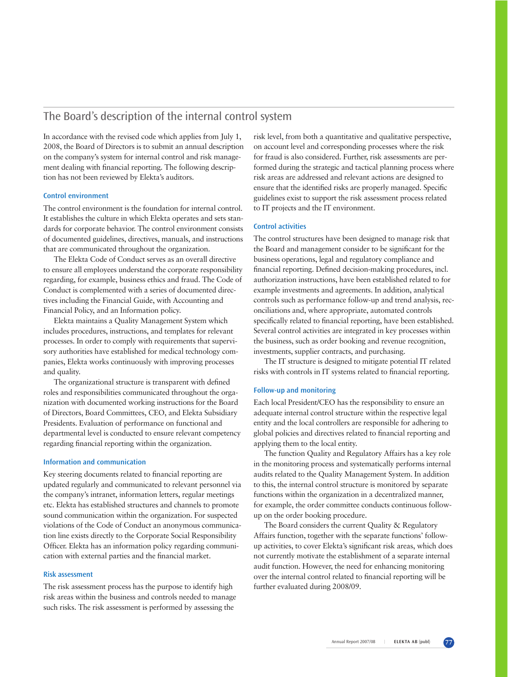### The Board's description of the internal control system

In accordance with the revised code which applies from July 1, 2008, the Board of Directors is to submit an annual description on the company's system for internal control and risk management dealing with financial reporting. The following description has not been reviewed by Elekta's auditors.

#### **Control environment**

The control environment is the foundation for internal control. It establishes the culture in which Elekta operates and sets standards for corporate behavior. The control environment consists of documented guidelines, directives, manuals, and instructions that are communicated throughout the organization.

The Elekta Code of Conduct serves as an overall directive to ensure all employees understand the corporate responsibility regarding, for example, business ethics and fraud. The Code of Conduct is complemented with a series of documented directives including the Financial Guide, with Accounting and Financial Policy, and an Information policy.

Elekta maintains a Quality Management System which includes procedures, instructions, and templates for relevant processes. In order to comply with requirements that supervisory authorities have established for medical technology companies, Elekta works continuously with improving processes and quality.

The organizational structure is transparent with defined roles and responsibilities communicated throughout the organization with documented working instructions for the Board of Directors, Board Committees, CEO, and Elekta Subsidiary Presidents. Evaluation of performance on functional and departmental level is conducted to ensure relevant competency regarding financial reporting within the organization.

#### **Information and communication**

Key steering documents related to financial reporting are updated regularly and communicated to relevant personnel via the company's intranet, information letters, regular meetings etc. Elekta has established structures and channels to promote sound communication within the organization. For suspected violations of the Code of Conduct an anonymous communication line exists directly to the Corporate Social Responsibility Officer. Elekta has an information policy regarding communication with external parties and the financial market.

#### **Risk assessment**

The risk assessment process has the purpose to identify high risk areas within the business and controls needed to manage such risks. The risk assessment is performed by assessing the

risk level, from both a quantitative and qualitative perspective, on account level and corresponding processes where the risk for fraud is also considered. Further, risk assessments are performed during the strategic and tactical planning process where risk areas are addressed and relevant actions are designed to ensure that the identified risks are properly managed. Specific guidelines exist to support the risk assessment process related to IT projects and the IT environment.

#### **Control activities**

The control structures have been designed to manage risk that the Board and management consider to be significant for the business operations, legal and regulatory compliance and financial reporting. Defined decision-making procedures, incl. authorization instructions, have been established related to for example investments and agreements. In addition, analytical controls such as performance follow-up and trend analysis, reconciliations and, where appropriate, automated controls specifically related to financial reporting, have been established. Several control activities are integrated in key processes within the business, such as order booking and revenue recognition, investments, supplier contracts, and purchasing.

The IT structure is designed to mitigate potential IT related risks with controls in IT systems related to financial reporting.

#### **Follow-up and monitoring**

Each local President/CEO has the responsibility to ensure an adequate internal control structure within the respective legal entity and the local controllers are responsible for adhering to global policies and directives related to financial reporting and applying them to the local entity.

The function Quality and Regulatory Affairs has a key role in the monitoring process and systematically performs internal audits related to the Quality Management System. In addition to this, the internal control structure is monitored by separate functions within the organization in a decentralized manner, for example, the order committee conducts continuous followup on the order booking procedure.

The Board considers the current Quality & Regulatory Affairs function, together with the separate functions' followup activities, to cover Elekta's significant risk areas, which does not currently motivate the establishment of a separate internal audit function. However, the need for enhancing monitoring over the internal control related to financial reporting will be further evaluated during 2008/09.